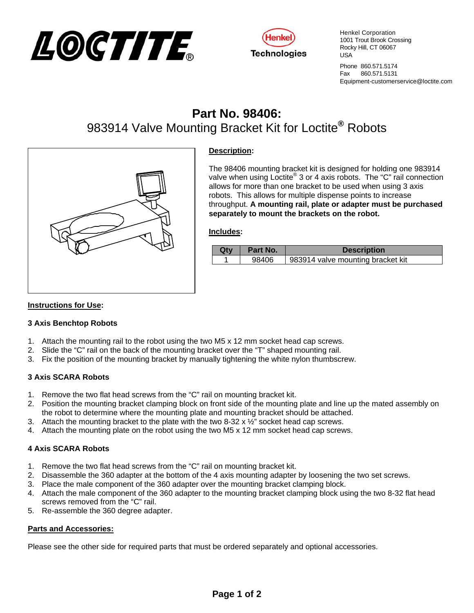



Henkel Corporation 1001 Trout Brook Crossing Rocky Hill, CT 06067 USA

Phone 860.571.5174 Fax 860.571.5131 Equipment-customerservice@loctite.com

# **Part No. 98406:** 983914 Valve Mounting Bracket Kit for Loctite**®** Robots



## **Description:**

The 98406 mounting bracket kit is designed for holding one 983914 valve when using Loctite® 3 or 4 axis robots. The "C" rail connection allows for more than one bracket to be used when using 3 axis robots. This allows for multiple dispense points to increase throughput. **A mounting rail, plate or adapter must be purchased separately to mount the brackets on the robot.**

#### **Includes:**

| Qtv | Part No. | <b>Description</b>                |
|-----|----------|-----------------------------------|
|     | 98406    | 983914 valve mounting bracket kit |

### **Instructions for Use:**

#### **3 Axis Benchtop Robots**

- 1. Attach the mounting rail to the robot using the two M5 x 12 mm socket head cap screws.
- 2. Slide the "C" rail on the back of the mounting bracket over the "T" shaped mounting rail.
- 3. Fix the position of the mounting bracket by manually tightening the white nylon thumbscrew.

#### **3 Axis SCARA Robots**

- 1. Remove the two flat head screws from the "C" rail on mounting bracket kit.
- 2. Position the mounting bracket clamping block on front side of the mounting plate and line up the mated assembly on the robot to determine where the mounting plate and mounting bracket should be attached.
- 3. Attach the mounting bracket to the plate with the two 8-32  $\times$  1/2" socket head cap screws.
- 4. Attach the mounting plate on the robot using the two M5 x 12 mm socket head cap screws.

#### **4 Axis SCARA Robots**

- 1. Remove the two flat head screws from the "C" rail on mounting bracket kit.
- 2. Disassemble the 360 adapter at the bottom of the 4 axis mounting adapter by loosening the two set screws.
- 3. Place the male component of the 360 adapter over the mounting bracket clamping block.
- 4. Attach the male component of the 360 adapter to the mounting bracket clamping block using the two 8-32 flat head screws removed from the "C" rail.
- 5. Re-assemble the 360 degree adapter.

#### **Parts and Accessories:**

Please see the other side for required parts that must be ordered separately and optional accessories.